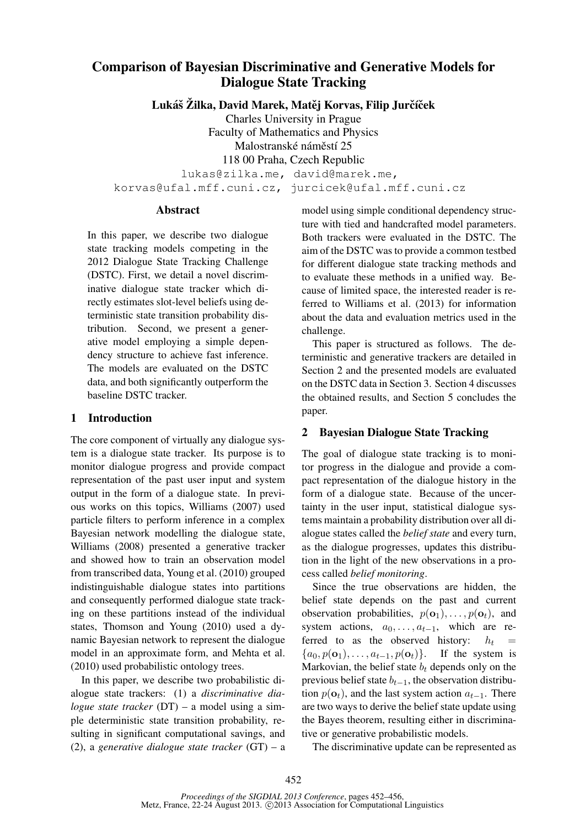# Comparison of Bayesian Discriminative and Generative Models for Dialogue State Tracking

Lukáš Žilka, David Marek, Matěj Korvas, Filip Jurčíček

Charles University in Prague

Faculty of Mathematics and Physics Malostranské náměstí 25 118 00 Praha, Czech Republic lukas@zilka.me, david@marek.me,

korvas@ufal.mff.cuni.cz, jurcicek@ufal.mff.cuni.cz

### Abstract

In this paper, we describe two dialogue state tracking models competing in the 2012 Dialogue State Tracking Challenge (DSTC). First, we detail a novel discriminative dialogue state tracker which directly estimates slot-level beliefs using deterministic state transition probability distribution. Second, we present a generative model employing a simple dependency structure to achieve fast inference. The models are evaluated on the DSTC data, and both significantly outperform the baseline DSTC tracker.

# 1 Introduction

The core component of virtually any dialogue system is a dialogue state tracker. Its purpose is to monitor dialogue progress and provide compact representation of the past user input and system output in the form of a dialogue state. In previous works on this topics, Williams (2007) used particle filters to perform inference in a complex Bayesian network modelling the dialogue state, Williams (2008) presented a generative tracker and showed how to train an observation model from transcribed data, Young et al. (2010) grouped indistinguishable dialogue states into partitions and consequently performed dialogue state tracking on these partitions instead of the individual states, Thomson and Young (2010) used a dynamic Bayesian network to represent the dialogue model in an approximate form, and Mehta et al. (2010) used probabilistic ontology trees.

In this paper, we describe two probabilistic dialogue state trackers: (1) a *discriminative dialogue state tracker* (DT) – a model using a simple deterministic state transition probability, resulting in significant computational savings, and (2), a *generative dialogue state tracker* (GT) – a

model using simple conditional dependency structure with tied and handcrafted model parameters. Both trackers were evaluated in the DSTC. The aim of the DSTC was to provide a common testbed for different dialogue state tracking methods and to evaluate these methods in a unified way. Because of limited space, the interested reader is referred to Williams et al. (2013) for information about the data and evaluation metrics used in the challenge.

This paper is structured as follows. The deterministic and generative trackers are detailed in Section 2 and the presented models are evaluated on the DSTC data in Section 3. Section 4 discusses the obtained results, and Section 5 concludes the paper.

#### 2 Bayesian Dialogue State Tracking

The goal of dialogue state tracking is to monitor progress in the dialogue and provide a compact representation of the dialogue history in the form of a dialogue state. Because of the uncertainty in the user input, statistical dialogue systems maintain a probability distribution over all dialogue states called the *belief state* and every turn, as the dialogue progresses, updates this distribution in the light of the new observations in a process called *belief monitoring*.

Since the true observations are hidden, the belief state depends on the past and current observation probabilities,  $p(\mathbf{o}_1), \ldots, p(\mathbf{o}_t)$ , and system actions,  $a_0, \ldots, a_{t-1}$ , which are re-<br>ferred to as the observed history:  $h_t =$ ferred to as the observed history:  ${a_0, p(\mathbf{o}_1), \ldots, a_{t-1}, p(\mathbf{o}_t)}$ . If the system is Markovian, the belief state  $b_t$  depends only on the previous belief state  $b_{t-1}$ , the observation distribution  $p(\mathbf{o}_t)$ , and the last system action  $a_{t-1}$ . There are two ways to derive the belief state update using the Bayes theorem, resulting either in discriminative or generative probabilistic models.

The discriminative update can be represented as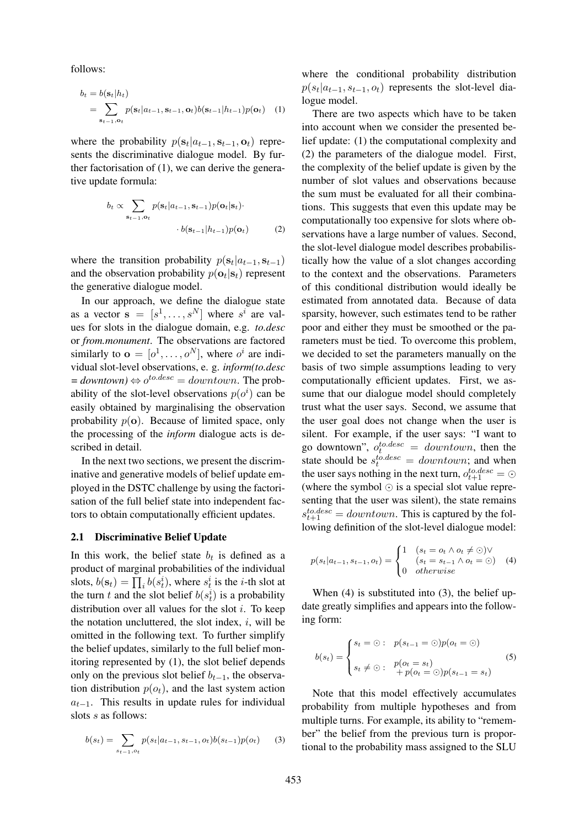follows:

$$
b_t = b(\mathbf{s}_t | h_t)
$$
  
= 
$$
\sum_{\mathbf{s}_{t-1}, \mathbf{o}_t} p(\mathbf{s}_t | a_{t-1}, \mathbf{s}_{t-1}, \mathbf{o}_t) b(\mathbf{s}_{t-1} | h_{t-1}) p(\mathbf{o}_t)
$$
 (1)

where the probability  $p(\mathbf{s}_t|a_{t-1}, \mathbf{s}_{t-1}, \mathbf{o}_t)$  represents the discriminative dialogue model. By further factorisation of (1), we can derive the generative update formula:

$$
b_t \propto \sum_{\mathbf{s}_{t-1}, \mathbf{o}_t} p(\mathbf{s}_t | a_{t-1}, \mathbf{s}_{t-1}) p(\mathbf{o}_t | \mathbf{s}_t) \cdot b(\mathbf{s}_{t-1} | h_{t-1}) p(\mathbf{o}_t)
$$
 (2)

where the transition probability  $p(\mathbf{s}_t|a_{t-1}, \mathbf{s}_{t-1})$ and the observation probability  $p(\mathbf{o}_t | \mathbf{s}_t)$  represent the generative dialogue model.

In our approach, we define the dialogue state as a vector  $\mathbf{s} = [s^1, \dots, s^N]$  where  $s^i$  are values for slots in the dialogue domain, e.g. *to.desc* or *from.monument*. The observations are factored similarly to  $\mathbf{o} = [o^1, \dots, o^N]$ , where  $o^i$  are individual slot-level observations, e. g. *inform(to.desc*  $=$  *downtown*)  $\Leftrightarrow$   $o^{to. desc} =$  *downtown*. The probability of the slot-level observations  $p(o^i)$  can be easily obtained by marginalising the observation probability  $p(\mathbf{o})$ . Because of limited space, only the processing of the *inform* dialogue acts is described in detail.

In the next two sections, we present the discriminative and generative models of belief update employed in the DSTC challenge by using the factorisation of the full belief state into independent factors to obtain computationally efficient updates.

#### 2.1 Discriminative Belief Update

In this work, the belief state  $b_t$  is defined as a product of marginal probabilities of the individual slots,  $b(\mathbf{s}_t) = \prod_i b(s_t^i)$ , where  $s_t^i$  is the *i*-th slot at the turn t and the slot belief  $b(s_t^i)$  is a probability distribution over all values for the slot i. To keep the notation uncluttered, the slot index,  $i$ , will be omitted in the following text. To further simplify the belief updates, similarly to the full belief monitoring represented by (1), the slot belief depends only on the previous slot belief  $b_{t-1}$ , the observation distribution  $p(o_t)$ , and the last system action  $a_{t-1}$ . This results in update rules for individual slots s as follows:

$$
b(s_t) = \sum_{s_{t-1}, o_t} p(s_t | a_{t-1}, s_{t-1}, o_t) b(s_{t-1}) p(o_t)
$$
 (3)

where the conditional probability distribution  $p(s_t|a_{t-1}, s_{t-1}, o_t)$  represents the slot-level dialogue model.

There are two aspects which have to be taken into account when we consider the presented belief update: (1) the computational complexity and (2) the parameters of the dialogue model. First, the complexity of the belief update is given by the number of slot values and observations because the sum must be evaluated for all their combinations. This suggests that even this update may be computationally too expensive for slots where observations have a large number of values. Second, the slot-level dialogue model describes probabilistically how the value of a slot changes according to the context and the observations. Parameters of this conditional distribution would ideally be estimated from annotated data. Because of data sparsity, however, such estimates tend to be rather poor and either they must be smoothed or the parameters must be tied. To overcome this problem, we decided to set the parameters manually on the basis of two simple assumptions leading to very computationally efficient updates. First, we assume that our dialogue model should completely trust what the user says. Second, we assume that the user goal does not change when the user is silent. For example, if the user says: "I want to go downtown",  $o_t^{to. desc} = downtown$ , then the state should be  $s_t^{to. desc} = *downtown*;$  and when the user says nothing in the next turn,  $o_{t+1}^{to. desc} = \odot$ (where the symbol  $\odot$  is a special slot value representing that the user was silent), the state remains  $s_{t+1}^{to, desc} = downtown$ . This is captured by the following definition of the slot-level dialogue model:

$$
p(s_t|a_{t-1}, s_{t-1}, o_t) = \begin{cases} 1 & (s_t = o_t \land o_t \neq \odot) \lor \\ & (s_t = s_{t-1} \land o_t = \odot) \\ 0 & otherwise \end{cases}
$$
 (4)

When (4) is substituted into (3), the belief update greatly simplifies and appears into the following form:

$$
b(s_t) = \begin{cases} s_t = \odot: & p(s_{t-1} = \odot)p(o_t = \odot) \\ s_t \neq \odot: & p(o_t = s_t) \\ & + p(o_t = \odot)p(s_{t-1} = s_t) \end{cases} \tag{5}
$$

Note that this model effectively accumulates probability from multiple hypotheses and from multiple turns. For example, its ability to "remember" the belief from the previous turn is proportional to the probability mass assigned to the SLU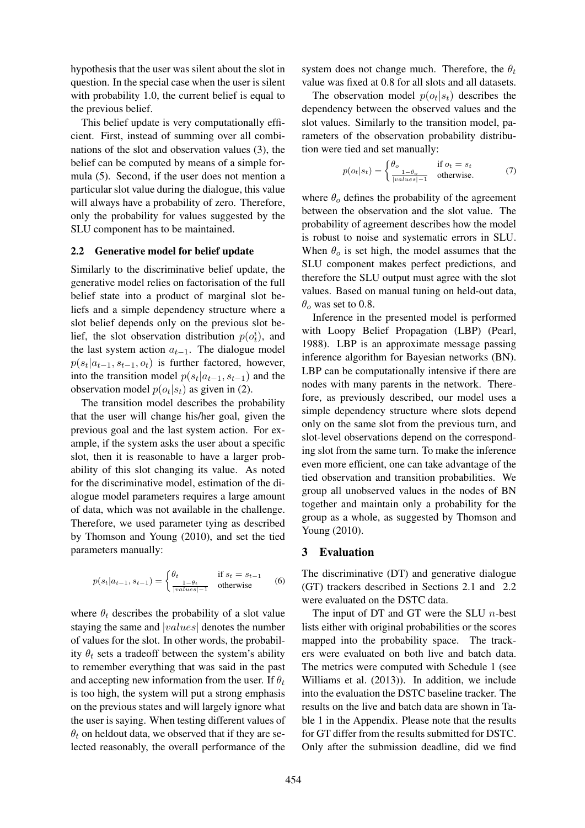hypothesis that the user was silent about the slot in question. In the special case when the user is silent with probability 1.0, the current belief is equal to the previous belief.

This belief update is very computationally efficient. First, instead of summing over all combinations of the slot and observation values (3), the belief can be computed by means of a simple formula (5). Second, if the user does not mention a particular slot value during the dialogue, this value will always have a probability of zero. Therefore, only the probability for values suggested by the SLU component has to be maintained.

#### 2.2 Generative model for belief update

Similarly to the discriminative belief update, the generative model relies on factorisation of the full belief state into a product of marginal slot beliefs and a simple dependency structure where a slot belief depends only on the previous slot belief, the slot observation distribution  $p(o_t^i)$ , and the last system action  $a_{t-1}$ . The dialogue model  $p(s_t|a_{t-1}, s_{t-1}, o_t)$  is further factored, however, into the transition model  $p(s_t|a_{t-1}, s_{t-1})$  and the observation model  $p(o_t|s_t)$  as given in (2).

The transition model describes the probability that the user will change his/her goal, given the previous goal and the last system action. For example, if the system asks the user about a specific slot, then it is reasonable to have a larger probability of this slot changing its value. As noted for the discriminative model, estimation of the dialogue model parameters requires a large amount of data, which was not available in the challenge. Therefore, we used parameter tying as described by Thomson and Young (2010), and set the tied parameters manually:

$$
p(s_t|a_{t-1}, s_{t-1}) = \begin{cases} \theta_t & \text{if } s_t = s_{t-1} \\ \frac{1 - \theta_t}{|values| - 1} & \text{otherwise} \end{cases}
$$
 (6)

where  $\theta_t$  describes the probability of a slot value staying the same and |values| denotes the number of values for the slot. In other words, the probability  $\theta_t$  sets a tradeoff between the system's ability to remember everything that was said in the past and accepting new information from the user. If  $\theta_t$ is too high, the system will put a strong emphasis on the previous states and will largely ignore what the user is saying. When testing different values of  $\theta_t$  on heldout data, we observed that if they are selected reasonably, the overall performance of the system does not change much. Therefore, the  $\theta_t$ value was fixed at 0.8 for all slots and all datasets.

The observation model  $p(o_t|s_t)$  describes the dependency between the observed values and the slot values. Similarly to the transition model, parameters of the observation probability distribution were tied and set manually:

$$
p(o_t|s_t) = \begin{cases} \theta_o & \text{if } o_t = s_t \\ \frac{1 - \theta_o}{|values| - 1} & \text{otherwise.} \end{cases}
$$
 (7)

where  $\theta_o$  defines the probability of the agreement between the observation and the slot value. The probability of agreement describes how the model is robust to noise and systematic errors in SLU. When  $\theta_o$  is set high, the model assumes that the SLU component makes perfect predictions, and therefore the SLU output must agree with the slot values. Based on manual tuning on held-out data,  $\theta$ <sub>o</sub> was set to 0.8.

Inference in the presented model is performed with Loopy Belief Propagation (LBP) (Pearl, 1988). LBP is an approximate message passing inference algorithm for Bayesian networks (BN). LBP can be computationally intensive if there are nodes with many parents in the network. Therefore, as previously described, our model uses a simple dependency structure where slots depend only on the same slot from the previous turn, and slot-level observations depend on the corresponding slot from the same turn. To make the inference even more efficient, one can take advantage of the tied observation and transition probabilities. We group all unobserved values in the nodes of BN together and maintain only a probability for the group as a whole, as suggested by Thomson and Young (2010).

#### 3 Evaluation

The discriminative (DT) and generative dialogue (GT) trackers described in Sections 2.1 and 2.2 were evaluated on the DSTC data.

The input of DT and GT were the SLU  $n$ -best lists either with original probabilities or the scores mapped into the probability space. The trackers were evaluated on both live and batch data. The metrics were computed with Schedule 1 (see Williams et al. (2013)). In addition, we include into the evaluation the DSTC baseline tracker. The results on the live and batch data are shown in Table 1 in the Appendix. Please note that the results for GT differ from the results submitted for DSTC. Only after the submission deadline, did we find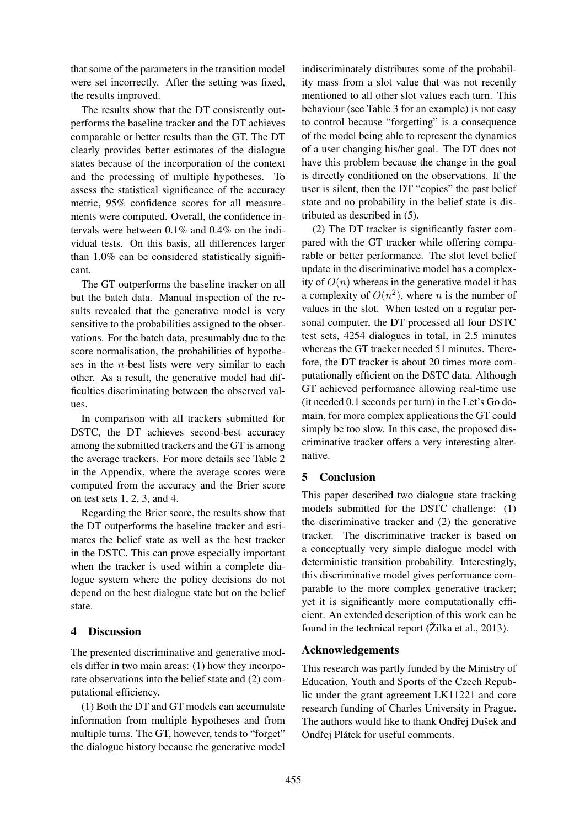that some of the parameters in the transition model were set incorrectly. After the setting was fixed, the results improved.

The results show that the DT consistently outperforms the baseline tracker and the DT achieves comparable or better results than the GT. The DT clearly provides better estimates of the dialogue states because of the incorporation of the context and the processing of multiple hypotheses. To assess the statistical significance of the accuracy metric, 95% confidence scores for all measurements were computed. Overall, the confidence intervals were between 0.1% and 0.4% on the individual tests. On this basis, all differences larger than 1.0% can be considered statistically significant.

The GT outperforms the baseline tracker on all but the batch data. Manual inspection of the results revealed that the generative model is very sensitive to the probabilities assigned to the observations. For the batch data, presumably due to the score normalisation, the probabilities of hypotheses in the n-best lists were very similar to each other. As a result, the generative model had difficulties discriminating between the observed values.

In comparison with all trackers submitted for DSTC, the DT achieves second-best accuracy among the submitted trackers and the GT is among the average trackers. For more details see Table 2 in the Appendix, where the average scores were computed from the accuracy and the Brier score on test sets 1, 2, 3, and 4.

Regarding the Brier score, the results show that the DT outperforms the baseline tracker and estimates the belief state as well as the best tracker in the DSTC. This can prove especially important when the tracker is used within a complete dialogue system where the policy decisions do not depend on the best dialogue state but on the belief state.

#### 4 Discussion

The presented discriminative and generative models differ in two main areas: (1) how they incorporate observations into the belief state and (2) computational efficiency.

(1) Both the DT and GT models can accumulate information from multiple hypotheses and from multiple turns. The GT, however, tends to "forget" the dialogue history because the generative model

indiscriminately distributes some of the probability mass from a slot value that was not recently mentioned to all other slot values each turn. This behaviour (see Table 3 for an example) is not easy to control because "forgetting" is a consequence of the model being able to represent the dynamics of a user changing his/her goal. The DT does not have this problem because the change in the goal is directly conditioned on the observations. If the user is silent, then the DT "copies" the past belief state and no probability in the belief state is distributed as described in (5).

(2) The DT tracker is significantly faster compared with the GT tracker while offering comparable or better performance. The slot level belief update in the discriminative model has a complexity of  $O(n)$  whereas in the generative model it has a complexity of  $O(n^2)$ , where *n* is the number of values in the slot. When tested on a regular personal computer, the DT processed all four DSTC test sets, 4254 dialogues in total, in 2.5 minutes whereas the GT tracker needed 51 minutes. Therefore, the DT tracker is about 20 times more computationally efficient on the DSTC data. Although GT achieved performance allowing real-time use (it needed 0.1 seconds per turn) in the Let's Go domain, for more complex applications the GT could simply be too slow. In this case, the proposed discriminative tracker offers a very interesting alternative.

# 5 Conclusion

This paper described two dialogue state tracking models submitted for the DSTC challenge: (1) the discriminative tracker and (2) the generative tracker. The discriminative tracker is based on a conceptually very simple dialogue model with deterministic transition probability. Interestingly, this discriminative model gives performance comparable to the more complex generative tracker; yet it is significantly more computationally efficient. An extended description of this work can be found in the technical report  $(\check{Z}$ ilka et al., 2013).

#### Acknowledgements

This research was partly funded by the Ministry of Education, Youth and Sports of the Czech Republic under the grant agreement LK11221 and core research funding of Charles University in Prague. The authors would like to thank Ondřej Dušek and Ondřej Plátek for useful comments.